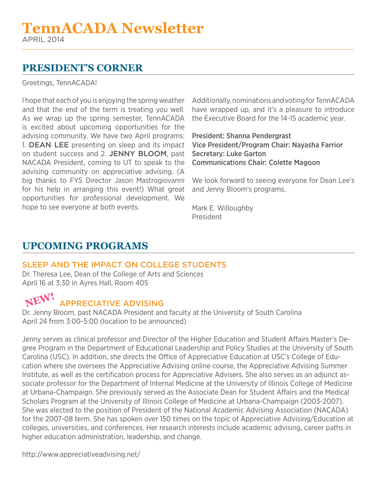## **President's Corner**

Greetings, TennACADA!

I hope that each of you is enjoying the spring weather and that the end of the term is treating you well. As we wrap up the spring semester, TennACADA is excited about upcoming opportunities for the advising community. We have two April programs: 1. **DEAN LEE** presenting on sleep and its impact on student success and 2. JENNY BLOOM, past NACADA President, coming to UT to speak to the advising community on appreciative advising. (A big thanks to FYS Director Jason Mastrogiovanni for his help in arranging this event!) What great opportunities for professional development. We hope to see everyone at both events.

Additionally, nominations and voting for TennACADA have wrapped up, and it's a pleasure to introduce the Executive Board for the 14-15 academic year.

President: Shanna Pendergrast Vice President/Program Chair: Nayasha Farrior Secretary: Luke Garton Communications Chair: Colette Magoon

We look forward to seeing everyone for Dean Lee's and Jenny Bloom's programs.

Mark E. Willoughby President

# **Upcoming Programs**

### Sleep and the Impact on College Students

Dr. Theresa Lee, Dean of the College of Arts and Sciences April 16 at 3:30 in Ayres Hall, Room 405

#### Appreciative Advising **NEW!**

Dr. Jenny Bloom, past NACADA President and faculty at the University of South Carolina April 24 from 3:00-5:00 (location to be announced)

Jenny serves as clinical professor and Director of the Higher Education and Student Affairs Master's Degree Program in the Department of Educational Leadership and Policy Studies at the University of South Carolina (USC). In addition, she directs the Office of Appreciative Education at USC's College of Education where she oversees the Appreciative Advising online course, the Appreciative Advising Summer Institute, as well as the certification process for Appreciative Advisers. She also serves as an adjunct associate professor for the Department of Internal Medicine at the University of Illinois College of Medicine at Urbana-Champaign. She previously served as the Associate Dean for Student Affairs and the Medical Scholars Program at the University of Illinois College of Medicine at Urbana-Champaign (2003-2007). She was elected to the position of President of the National Academic Advising Association (NACADA) for the 2007-08 term. She has spoken over 150 times on the topic of Appreciative Advising/Education at colleges, universities, and conferences. Her research interests include academic advising, career paths in higher education administration, leadership, and change.

http://www.appreciativeadvising.net/